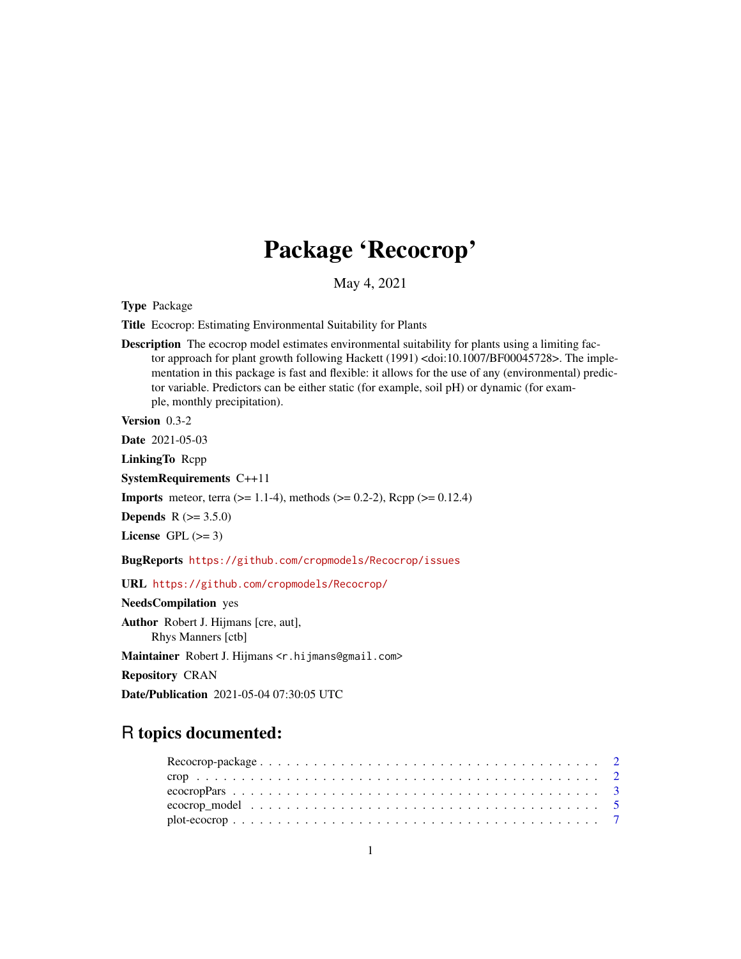# Package 'Recocrop'

May 4, 2021

<span id="page-0-0"></span>Type Package

Title Ecocrop: Estimating Environmental Suitability for Plants

Description The ecocrop model estimates environmental suitability for plants using a limiting factor approach for plant growth following Hackett (1991) <doi:10.1007/BF00045728>. The implementation in this package is fast and flexible: it allows for the use of any (environmental) predictor variable. Predictors can be either static (for example, soil pH) or dynamic (for example, monthly precipitation).

Version 0.3-2

Date 2021-05-03

LinkingTo Rcpp

SystemRequirements C++11

**Imports** meteor, terra ( $>= 1.1-4$ ), methods ( $>= 0.2-2$ ), Rcpp ( $>= 0.12.4$ )

**Depends** R  $(>= 3.5.0)$ 

License GPL  $(>= 3)$ 

BugReports <https://github.com/cropmodels/Recocrop/issues>

URL <https://github.com/cropmodels/Recocrop/>

NeedsCompilation yes

Author Robert J. Hijmans [cre, aut], Rhys Manners [ctb]

Maintainer Robert J. Hijmans < r. hijmans@gmail.com>

Repository CRAN

Date/Publication 2021-05-04 07:30:05 UTC

# R topics documented: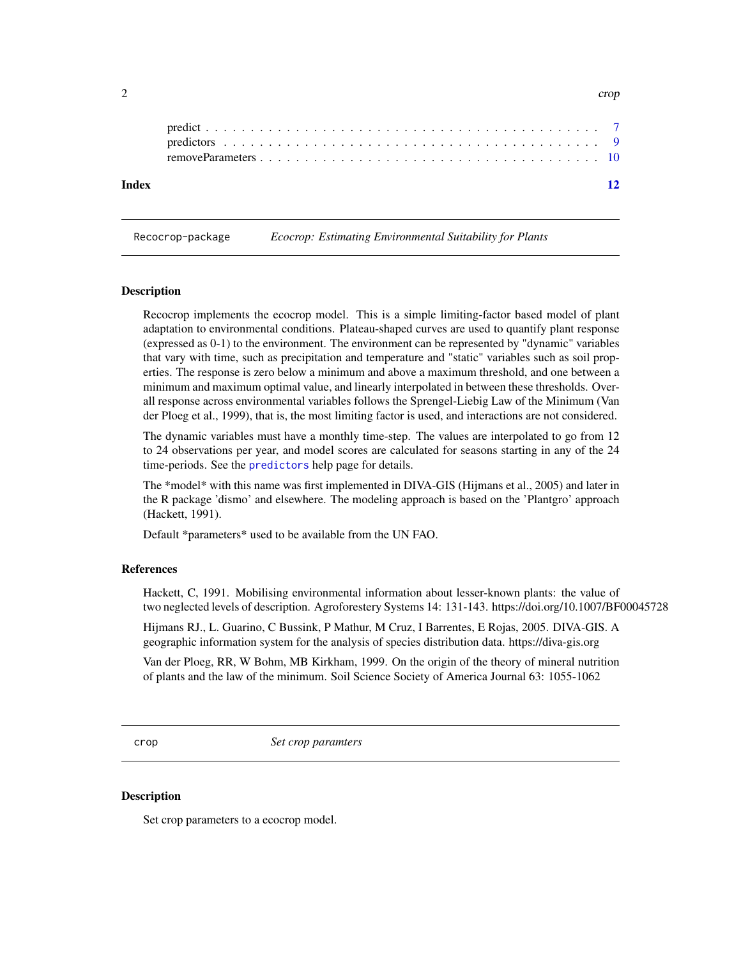Recocrop-package *Ecocrop: Estimating Environmental Suitability for Plants*

#### Description

Recocrop implements the ecocrop model. This is a simple limiting-factor based model of plant adaptation to environmental conditions. Plateau-shaped curves are used to quantify plant response (expressed as 0-1) to the environment. The environment can be represented by "dynamic" variables that vary with time, such as precipitation and temperature and "static" variables such as soil properties. The response is zero below a minimum and above a maximum threshold, and one between a minimum and maximum optimal value, and linearly interpolated in between these thresholds. Overall response across environmental variables follows the Sprengel-Liebig Law of the Minimum (Van der Ploeg et al., 1999), that is, the most limiting factor is used, and interactions are not considered.

The dynamic variables must have a monthly time-step. The values are interpolated to go from 12 to 24 observations per year, and model scores are calculated for seasons starting in any of the 24 time-periods. See the [predictors](#page-8-1) help page for details.

The \*model\* with this name was first implemented in DIVA-GIS (Hijmans et al., 2005) and later in the R package 'dismo' and elsewhere. The modeling approach is based on the 'Plantgro' approach (Hackett, 1991).

Default \*parameters\* used to be available from the UN FAO.

#### References

Hackett, C, 1991. Mobilising environmental information about lesser-known plants: the value of two neglected levels of description. Agroforestery Systems 14: 131-143. https://doi.org/10.1007/BF00045728

Hijmans RJ., L. Guarino, C Bussink, P Mathur, M Cruz, I Barrentes, E Rojas, 2005. DIVA-GIS. A geographic information system for the analysis of species distribution data. https://diva-gis.org

Van der Ploeg, RR, W Bohm, MB Kirkham, 1999. On the origin of the theory of mineral nutrition of plants and the law of the minimum. Soil Science Society of America Journal 63: 1055-1062

<span id="page-1-1"></span>crop *Set crop paramters*

#### **Description**

Set crop parameters to a ecocrop model.

<span id="page-1-0"></span> $2$  crop  $\sim$  crop  $\sim$  crop  $\sim$  crop  $\sim$  crop  $\sim$  crop  $\sim$  crop  $\sim$  crop  $\sim$  crop  $\sim$  crop  $\sim$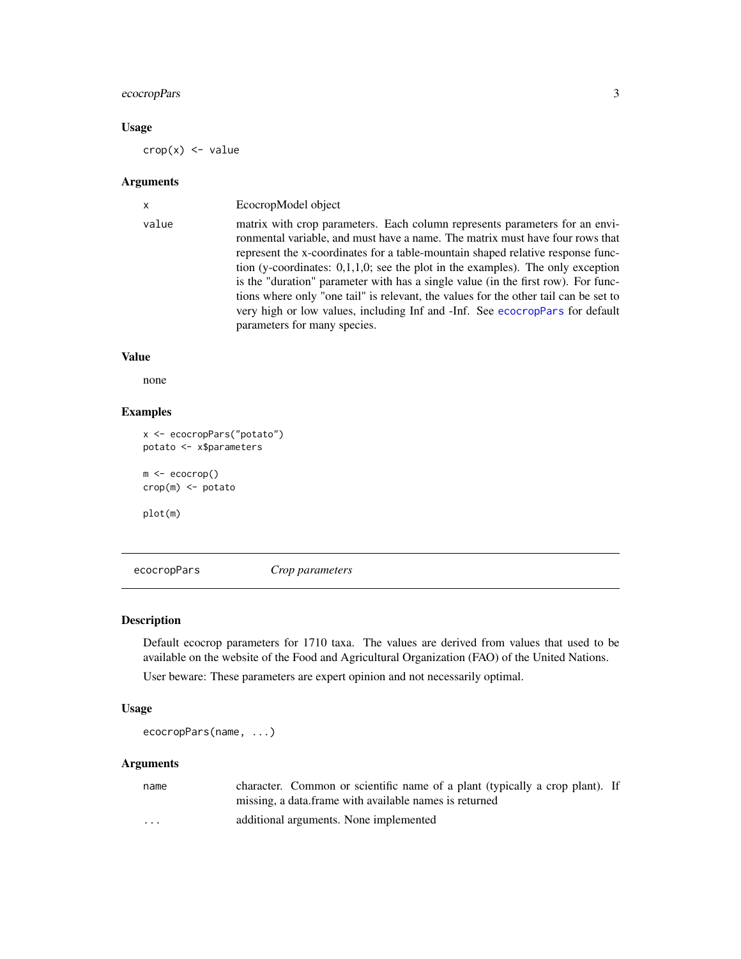# <span id="page-2-0"></span>ecocropPars 3

# Usage

 $\text{crop}(x) \leq -\text{value}$ 

# Arguments

| $\mathsf{x}$ | EcocropModel object                                                                                                                                                                                                                                                                                                                                                                                                                                                                                                                                                                                                                |
|--------------|------------------------------------------------------------------------------------------------------------------------------------------------------------------------------------------------------------------------------------------------------------------------------------------------------------------------------------------------------------------------------------------------------------------------------------------------------------------------------------------------------------------------------------------------------------------------------------------------------------------------------------|
| value        | matrix with crop parameters. Each column represents parameters for an envi-<br>ronmental variable, and must have a name. The matrix must have four rows that<br>represent the x-coordinates for a table-mountain shaped relative response func-<br>tion (y-coordinates: $0,1,1,0$ ; see the plot in the examples). The only exception<br>is the "duration" parameter with has a single value (in the first row). For func-<br>tions where only "one tail" is relevant, the values for the other tail can be set to<br>very high or low values, including Inf and -Inf. See ecocropPars for default<br>parameters for many species. |

#### Value

none

# Examples

```
x <- ecocropPars("potato")
potato <- x$parameters
m <- ecocrop()
crop(m) <- potato
```
plot(m)

<span id="page-2-1"></span>ecocropPars *Crop parameters*

# Description

Default ecocrop parameters for 1710 taxa. The values are derived from values that used to be available on the website of the Food and Agricultural Organization (FAO) of the United Nations.

User beware: These parameters are expert opinion and not necessarily optimal.

#### Usage

ecocropPars(name, ...)

# Arguments

| name     | character. Common or scientific name of a plant (typically a crop plant). If |
|----------|------------------------------------------------------------------------------|
|          | missing, a data frame with available names is returned                       |
| $\cdots$ | additional arguments. None implemented                                       |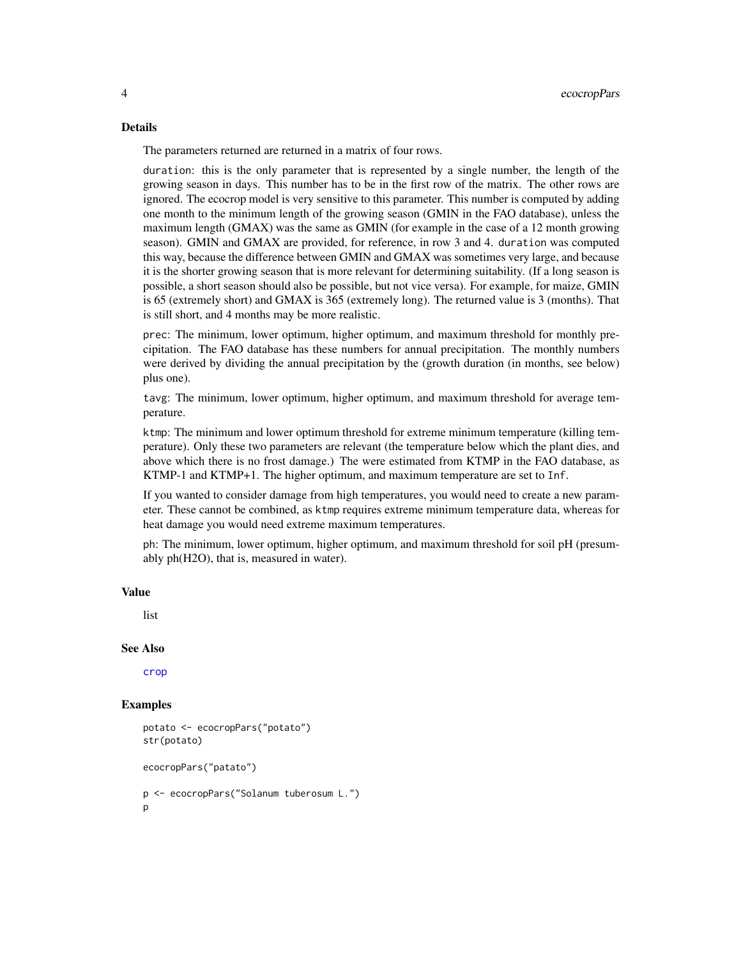#### <span id="page-3-0"></span>Details

The parameters returned are returned in a matrix of four rows.

duration: this is the only parameter that is represented by a single number, the length of the growing season in days. This number has to be in the first row of the matrix. The other rows are ignored. The ecocrop model is very sensitive to this parameter. This number is computed by adding one month to the minimum length of the growing season (GMIN in the FAO database), unless the maximum length (GMAX) was the same as GMIN (for example in the case of a 12 month growing season). GMIN and GMAX are provided, for reference, in row 3 and 4. duration was computed this way, because the difference between GMIN and GMAX was sometimes very large, and because it is the shorter growing season that is more relevant for determining suitability. (If a long season is possible, a short season should also be possible, but not vice versa). For example, for maize, GMIN is 65 (extremely short) and GMAX is 365 (extremely long). The returned value is 3 (months). That is still short, and 4 months may be more realistic.

prec: The minimum, lower optimum, higher optimum, and maximum threshold for monthly precipitation. The FAO database has these numbers for annual precipitation. The monthly numbers were derived by dividing the annual precipitation by the (growth duration (in months, see below) plus one).

tavg: The minimum, lower optimum, higher optimum, and maximum threshold for average temperature.

ktmp: The minimum and lower optimum threshold for extreme minimum temperature (killing temperature). Only these two parameters are relevant (the temperature below which the plant dies, and above which there is no frost damage.) The were estimated from KTMP in the FAO database, as KTMP-1 and KTMP+1. The higher optimum, and maximum temperature are set to Inf.

If you wanted to consider damage from high temperatures, you would need to create a new parameter. These cannot be combined, as ktmp requires extreme minimum temperature data, whereas for heat damage you would need extreme maximum temperatures.

ph: The minimum, lower optimum, higher optimum, and maximum threshold for soil pH (presumably ph(H2O), that is, measured in water).

# Value

list

### See Also

[crop](#page-1-1)

```
potato <- ecocropPars("potato")
str(potato)
ecocropPars("patato")
p <- ecocropPars("Solanum tuberosum L.")
p
```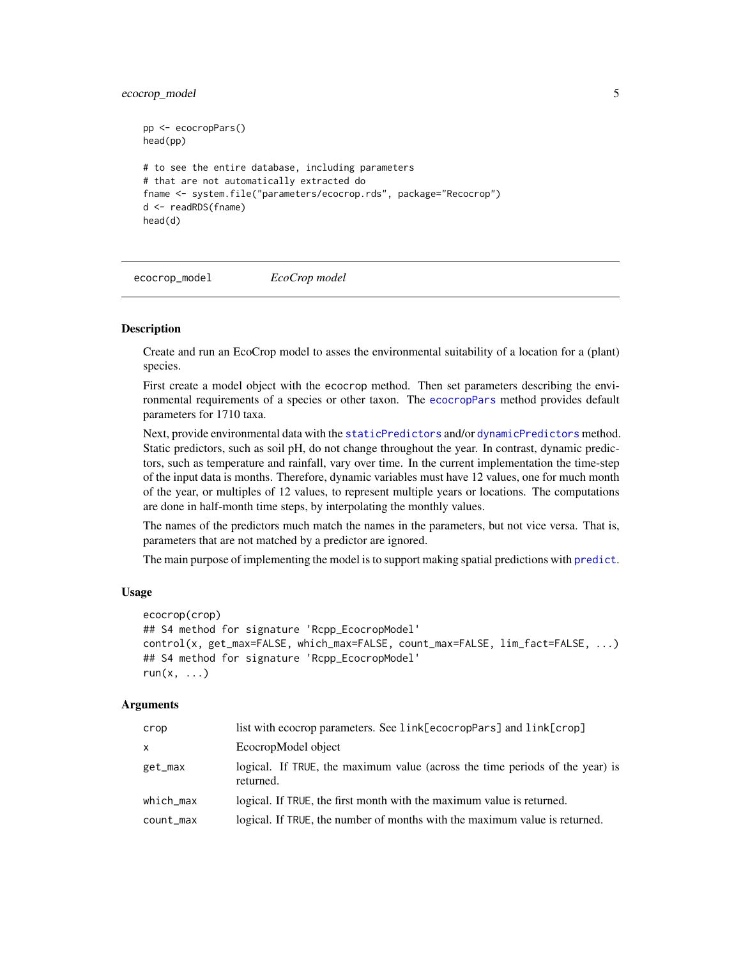# <span id="page-4-0"></span>ecocrop\_model 5

```
pp <- ecocropPars()
head(pp)
# to see the entire database, including parameters
# that are not automatically extracted do
fname <- system.file("parameters/ecocrop.rds", package="Recocrop")
d <- readRDS(fname)
head(d)
```
ecocrop\_model *EcoCrop model*

### Description

Create and run an EcoCrop model to asses the environmental suitability of a location for a (plant) species.

First create a model object with the ecocrop method. Then set parameters describing the environmental requirements of a species or other taxon. The [ecocropPars](#page-2-1) method provides default parameters for 1710 taxa.

Next, provide environmental data with the [staticPredictors](#page-8-1) and/or [dynamicPredictors](#page-8-1) method. Static predictors, such as soil pH, do not change throughout the year. In contrast, dynamic predictors, such as temperature and rainfall, vary over time. In the current implementation the time-step of the input data is months. Therefore, dynamic variables must have 12 values, one for much month of the year, or multiples of 12 values, to represent multiple years or locations. The computations are done in half-month time steps, by interpolating the monthly values.

The names of the predictors much match the names in the parameters, but not vice versa. That is, parameters that are not matched by a predictor are ignored.

The main purpose of implementing the model is to support making spatial [predict](#page-6-1)ions with predict.

# Usage

```
ecocrop(crop)
## S4 method for signature 'Rcpp_EcocropModel'
control(x, get_max=FALSE, which_max=FALSE, count_max=FALSE, lim_fact=FALSE, ...)
## S4 method for signature 'Rcpp_EcocropModel'
run(x, \ldots)
```
# Arguments

| crop      | list with ecocrop parameters. See link[ecocropPars] and link[crop]                        |
|-----------|-------------------------------------------------------------------------------------------|
| X         | EcocropModel object                                                                       |
| get_max   | logical. If TRUE, the maximum value (across the time periods of the year) is<br>returned. |
| which_max | logical. If TRUE, the first month with the maximum value is returned.                     |
| count_max | logical. If TRUE, the number of months with the maximum value is returned.                |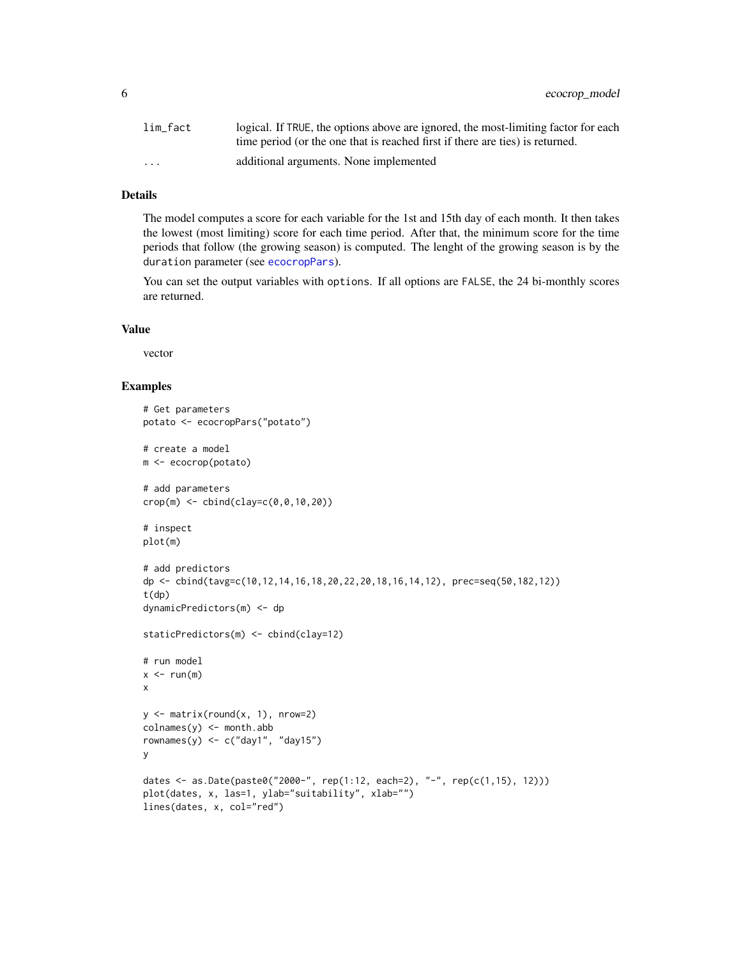<span id="page-5-0"></span>6 ecocrop\_model

| lim fact                | logical. If TRUE, the options above are ignored, the most-limiting factor for each |
|-------------------------|------------------------------------------------------------------------------------|
|                         | time period (or the one that is reached first if there are ties) is returned.      |
| $\cdot$ $\cdot$ $\cdot$ | additional arguments. None implemented                                             |

#### Details

The model computes a score for each variable for the 1st and 15th day of each month. It then takes the lowest (most limiting) score for each time period. After that, the minimum score for the time periods that follow (the growing season) is computed. The lenght of the growing season is by the duration parameter (see [ecocropPars](#page-2-1)).

You can set the output variables with options. If all options are FALSE, the 24 bi-monthly scores are returned.

#### Value

vector

```
# Get parameters
potato <- ecocropPars("potato")
# create a model
m <- ecocrop(potato)
# add parameters
crop(m) \leq cbind(clay=c(0,0,10,20))# inspect
plot(m)
# add predictors
dp <- cbind(tavg=c(10,12,14,16,18,20,22,20,18,16,14,12), prec=seq(50,182,12))
t(dp)
dynamicPredictors(m) <- dp
staticPredictors(m) <- cbind(clay=12)
# run model
x < -run(m)x
y \leftarrow \text{matrix}(\text{round}(x, 1), \text{nrow=2})\text{colnames}(y) \leq \text{month}.\text{abb}rownames(y) \leq c("day1", "day15")
y
dates <- as.Date(paste0("2000-", rep(1:12, each=2), "-", rep(c(1,15), 12)))
plot(dates, x, las=1, ylab="suitability", xlab="")
lines(dates, x, col="red")
```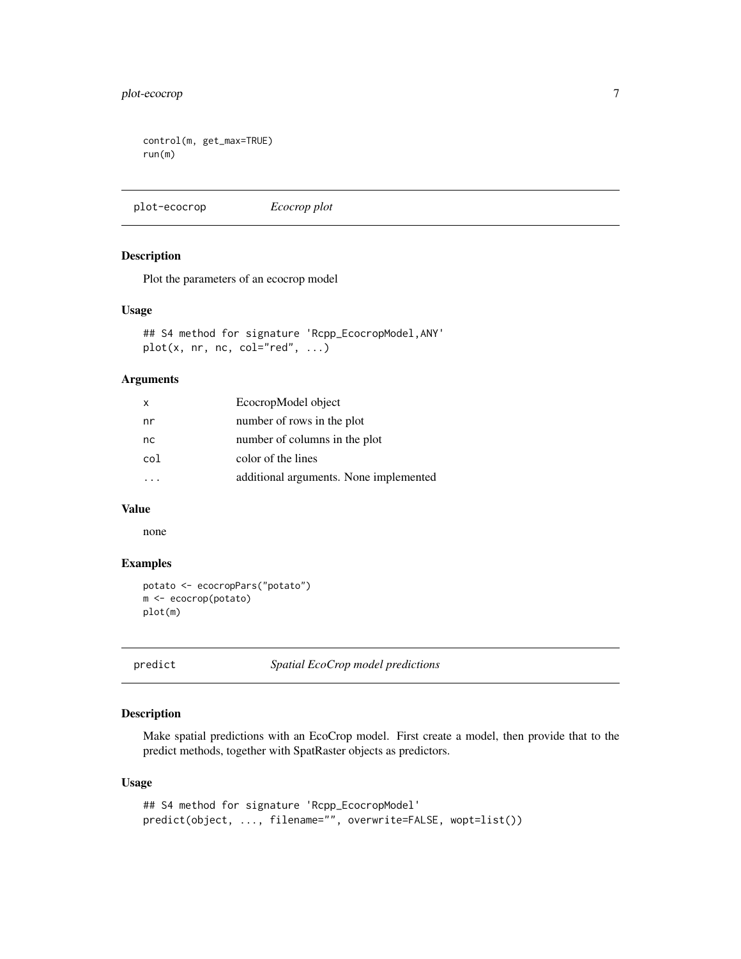# <span id="page-6-0"></span>plot-ecocrop 7

```
control(m, get_max=TRUE)
run(m)
```
plot-ecocrop *Ecocrop plot*

#### Description

Plot the parameters of an ecocrop model

#### Usage

```
## S4 method for signature 'Rcpp_EcocropModel,ANY'
plot(x, nr, nc, col="red", \ldots)
```
# Arguments

| x   | EcocropModel object                    |
|-----|----------------------------------------|
| nr  | number of rows in the plot             |
| nc  | number of columns in the plot          |
| col | color of the lines                     |
|     | additional arguments. None implemented |
|     |                                        |

# Value

none

# Examples

```
potato <- ecocropPars("potato")
m <- ecocrop(potato)
plot(m)
```
<span id="page-6-1"></span>predict *Spatial EcoCrop model predictions*

# Description

Make spatial predictions with an EcoCrop model. First create a model, then provide that to the predict methods, together with SpatRaster objects as predictors.

### Usage

```
## S4 method for signature 'Rcpp_EcocropModel'
predict(object, ..., filename="", overwrite=FALSE, wopt=list())
```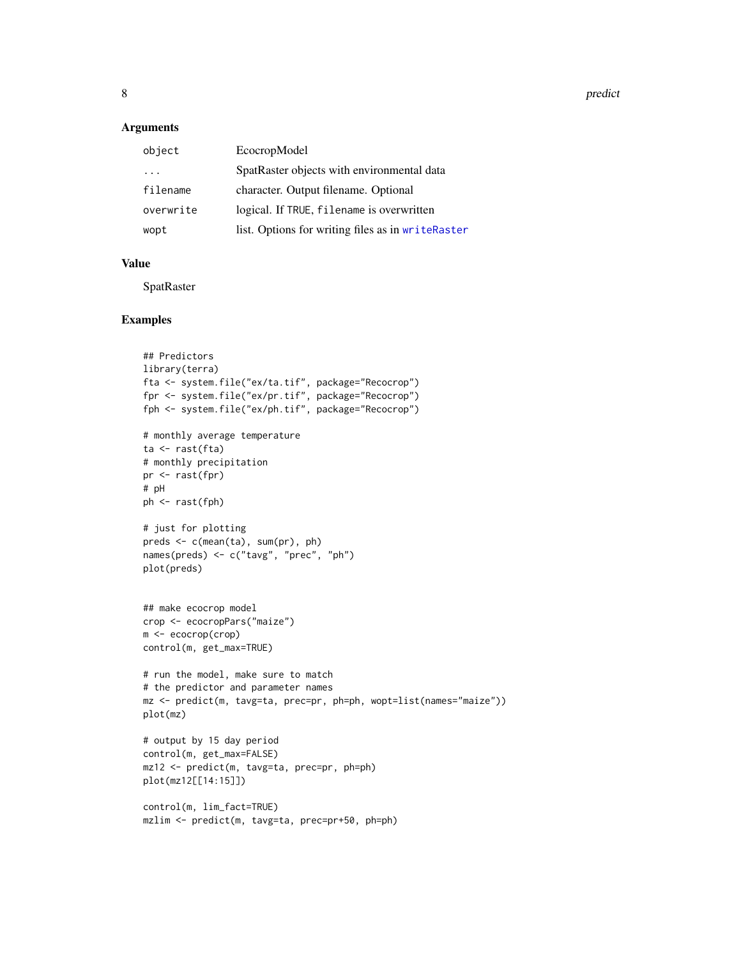<span id="page-7-0"></span>8 prediction of the contract of the contract of the contract of the contract of the contract of the contract of the contract of the contract of the contract of the contract of the contract of the contract of the contract o

#### Arguments

| object    | EcocropModel                                      |
|-----------|---------------------------------------------------|
| .         | SpatRaster objects with environmental data        |
| filename  | character. Output filename. Optional              |
| overwrite | logical. If TRUE, filename is overwritten         |
| wopt      | list. Options for writing files as in writeRaster |
|           |                                                   |

# Value

SpatRaster

```
## Predictors
library(terra)
fta <- system.file("ex/ta.tif", package="Recocrop")
fpr <- system.file("ex/pr.tif", package="Recocrop")
fph <- system.file("ex/ph.tif", package="Recocrop")
# monthly average temperature
ta <- rast(fta)
# monthly precipitation
pr <- rast(fpr)
# pH
ph <- rast(fph)
# just for plotting
preds <- c(mean(ta), sum(pr), ph)
names(preds) <- c("tavg", "prec", "ph")
plot(preds)
## make ecocrop model
crop <- ecocropPars("maize")
m <- ecocrop(crop)
control(m, get_max=TRUE)
# run the model, make sure to match
# the predictor and parameter names
mz <- predict(m, tavg=ta, prec=pr, ph=ph, wopt=list(names="maize"))
plot(mz)
# output by 15 day period
control(m, get_max=FALSE)
mz12 <- predict(m, tavg=ta, prec=pr, ph=ph)
plot(mz12[[14:15]])
control(m, lim_fact=TRUE)
mzlim <- predict(m, tavg=ta, prec=pr+50, ph=ph)
```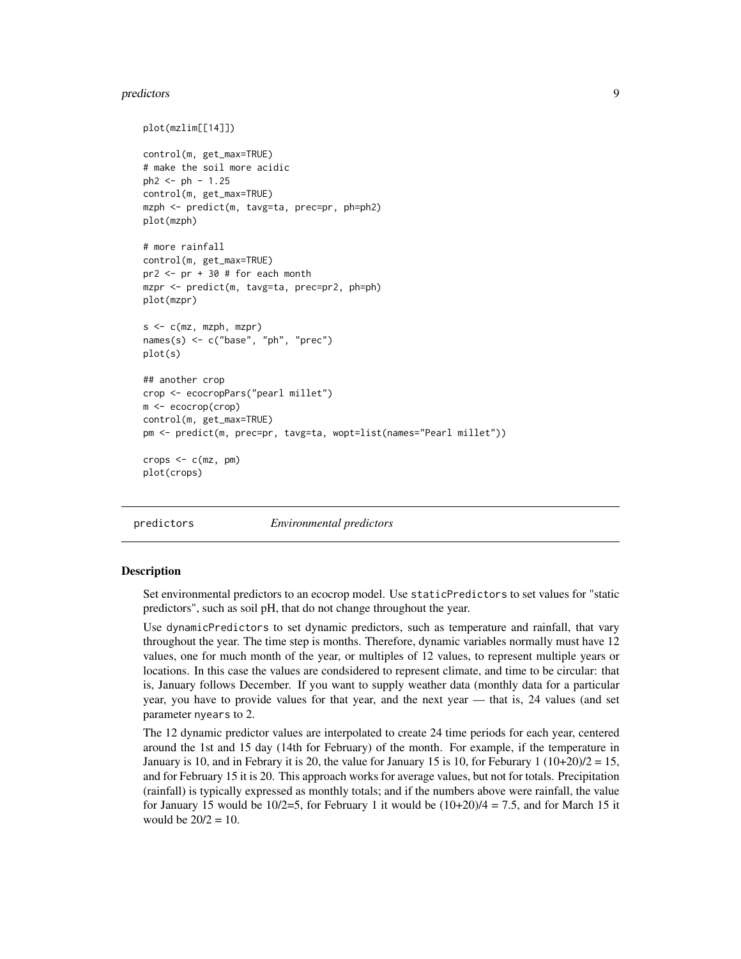#### <span id="page-8-0"></span>predictors and the predictors of the set of the set of the set of the set of the set of the set of the set of the set of the set of the set of the set of the set of the set of the set of the set of the set of the set of th

```
plot(mzlim[[14]])
control(m, get_max=TRUE)
# make the soil more acidic
ph2 < - ph - 1.25control(m, get_max=TRUE)
mzph <- predict(m, tavg=ta, prec=pr, ph=ph2)
plot(mzph)
# more rainfall
control(m, get_max=TRUE)
pr2 <- pr + 30 # for each month
mzpr <- predict(m, tavg=ta, prec=pr2, ph=ph)
plot(mzpr)
s <- c(mz, mzph, mzpr)
names(s) <- c("base", "ph", "prec")
plot(s)
## another crop
crop <- ecocropPars("pearl millet")
m <- ecocrop(crop)
control(m, get_max=TRUE)
pm <- predict(m, prec=pr, tavg=ta, wopt=list(names="Pearl millet"))
crops < -c(mz, pm)plot(crops)
```
predictors *Environmental predictors*

#### <span id="page-8-1"></span>Description

Set environmental predictors to an ecocrop model. Use staticPredictors to set values for "static predictors", such as soil pH, that do not change throughout the year.

Use dynamicPredictors to set dynamic predictors, such as temperature and rainfall, that vary throughout the year. The time step is months. Therefore, dynamic variables normally must have 12 values, one for much month of the year, or multiples of 12 values, to represent multiple years or locations. In this case the values are condsidered to represent climate, and time to be circular: that is, January follows December. If you want to supply weather data (monthly data for a particular year, you have to provide values for that year, and the next year — that is, 24 values (and set parameter nyears to 2.

The 12 dynamic predictor values are interpolated to create 24 time periods for each year, centered around the 1st and 15 day (14th for February) of the month. For example, if the temperature in January is 10, and in Febrary it is 20, the value for January 15 is 10, for Feburary 1  $(10+20)/2 = 15$ , and for February 15 it is 20. This approach works for average values, but not for totals. Precipitation (rainfall) is typically expressed as monthly totals; and if the numbers above were rainfall, the value for January 15 would be  $10/2=5$ , for February 1 it would be  $(10+20)/4 = 7.5$ , and for March 15 it would be  $20/2 = 10$ .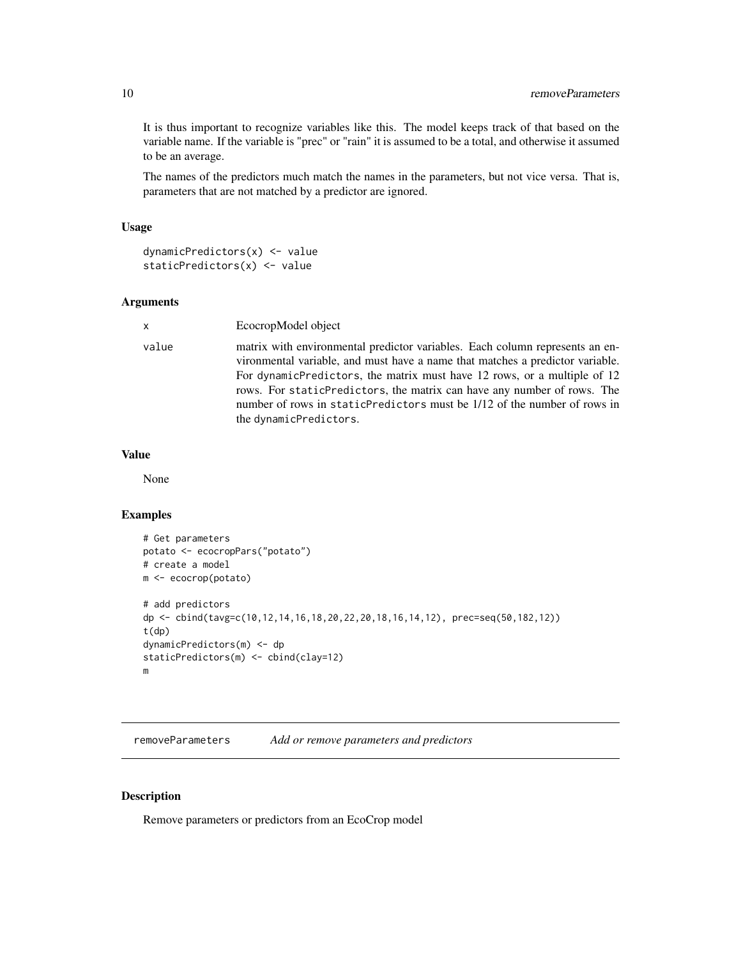<span id="page-9-0"></span>It is thus important to recognize variables like this. The model keeps track of that based on the variable name. If the variable is "prec" or "rain" it is assumed to be a total, and otherwise it assumed to be an average.

The names of the predictors much match the names in the parameters, but not vice versa. That is, parameters that are not matched by a predictor are ignored.

# Usage

```
dynamicPredictors(x) <- value
staticPredictors(x) <- value
```
# Arguments

| x     | EcocropModel object                                                                                                                                                                                                                                                                                                                                                                                                         |
|-------|-----------------------------------------------------------------------------------------------------------------------------------------------------------------------------------------------------------------------------------------------------------------------------------------------------------------------------------------------------------------------------------------------------------------------------|
| value | matrix with environmental predictor variables. Each column represents an en-<br>vironmental variable, and must have a name that matches a predictor variable.<br>For dynamicPredictors, the matrix must have 12 rows, or a multiple of 12<br>rows. For static Predictors, the matrix can have any number of rows. The<br>number of rows in staticPredictors must be 1/12 of the number of rows in<br>the dynamicPredictors. |

# Value

None

#### Examples

```
# Get parameters
potato <- ecocropPars("potato")
# create a model
m <- ecocrop(potato)
# add predictors
dp <- cbind(tavg=c(10,12,14,16,18,20,22,20,18,16,14,12), prec=seq(50,182,12))
t(dp)
dynamicPredictors(m) <- dp
staticPredictors(m) <- cbind(clay=12)
m
```
removeParameters *Add or remove parameters and predictors*

# Description

Remove parameters or predictors from an EcoCrop model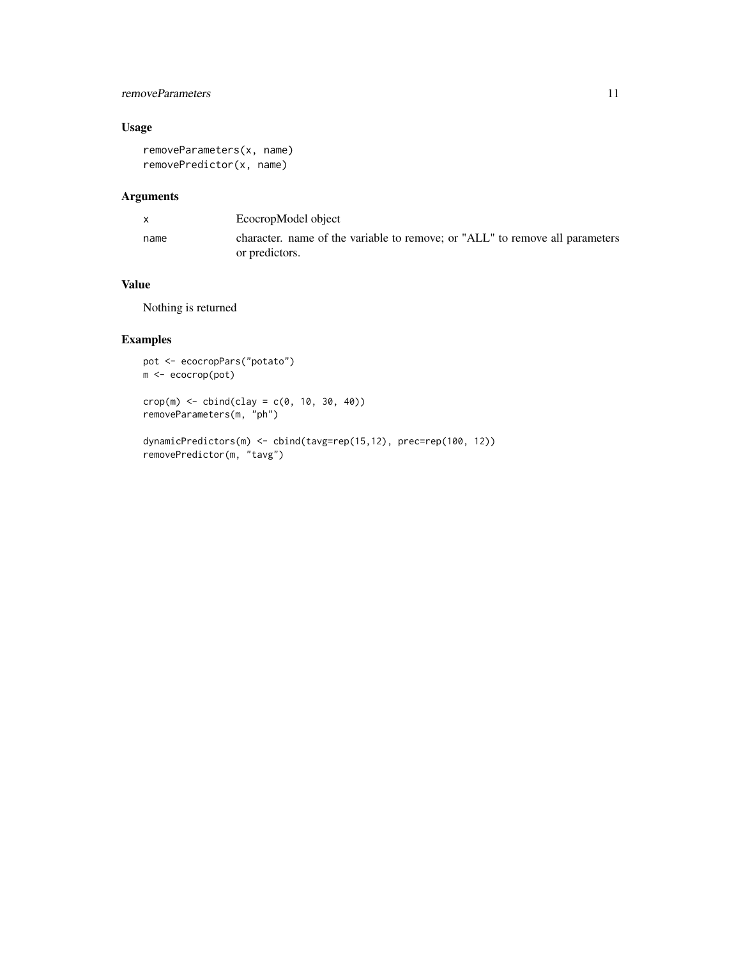# removeParameters 11

# Usage

```
removeParameters(x, name)
removePredictor(x, name)
```
# Arguments

| X    | EcocropModel object                                                                            |
|------|------------------------------------------------------------------------------------------------|
| name | character, name of the variable to remove; or "ALL" to remove all parameters<br>or predictors. |

# Value

Nothing is returned

```
pot <- ecocropPars("potato")
m <- ecocrop(pot)
crop(m) \leq cbind(clay = c(0, 10, 30, 40))removeParameters(m, "ph")
```

```
dynamicPredictors(m) <- cbind(tavg=rep(15,12), prec=rep(100, 12))
removePredictor(m, "tavg")
```